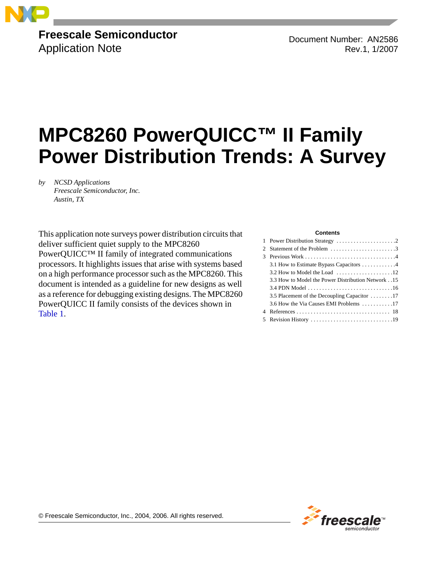

# **Freescale Semiconductor** Application Note

Document Number: AN2586 Rev.1, 1/2007

# **MPC8260 PowerQUICC™ II Family Power Distribution Trends: A Survey**

*by NCSD Applications Freescale Semiconductor, Inc. Austin, TX*

This application note surveys power distribution circuits that deliver sufficient quiet supply to the MPC8260 PowerQUICC™ II family of integrated communications processors. It highlights issues that arise with systems based on a high performance processor such as the MPC8260. This document is intended as a guideline for new designs as well as a reference for debugging existing designs. The MPC8260 PowerQUICC II family consists of the devices shown in Table 1.

#### **Contents**

| 2 Statement of the Problem 3                      |
|---------------------------------------------------|
|                                                   |
| 3.1 How to Estimate Bypass Capacitors 4           |
|                                                   |
| 3.3 How to Model the Power Distribution Network15 |
|                                                   |
| 3.5 Placement of the Decoupling Capacitor 17      |
| 3.6 How the Via Causes EMI Problems 17            |
|                                                   |
|                                                   |
|                                                   |



© Freescale Semiconductor, Inc., 2004, 2006. All rights reserved.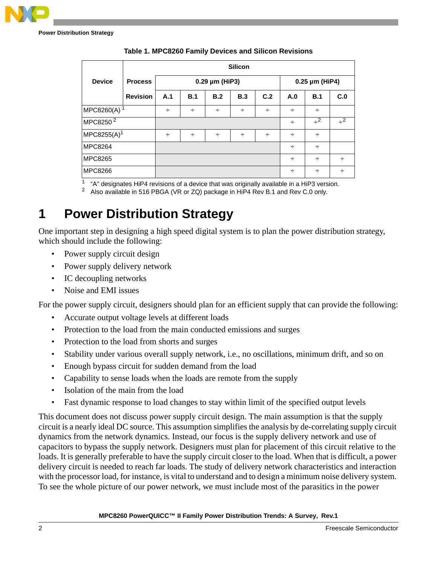**Power Distribution Strategy**

|                         | <b>Silicon</b>  |     |     |                |                |     |      |          |     |
|-------------------------|-----------------|-----|-----|----------------|----------------|-----|------|----------|-----|
| <b>Device</b>           | <b>Process</b>  |     |     | 0.29 µm (HiP3) | 0.25 µm (HiP4) |     |      |          |     |
|                         | <b>Revision</b> | A.1 | B.1 | B.2            | B.3            | C.2 | A.0  | B.1      | C.0 |
| MPC8260(A) <sup>1</sup> | ÷               | ÷   | ÷   | ÷              | ÷              | ÷   | ÷    |          |     |
| MPC8250 <sup>2</sup>    |                 |     |     |                |                | ÷   | $-2$ | $\div^2$ |     |
| $MPC8255(A)^1$          | ÷               | ÷   | ÷   | ÷              | ÷              | ÷   | ÷    |          |     |
| <b>MPC8264</b>          |                 |     |     |                |                | ÷   | ÷    |          |     |
| <b>MPC8265</b>          |                 |     |     |                |                | ÷   | ÷    | ÷        |     |
| <b>MPC8266</b>          |                 |     |     |                |                | ÷   | ÷    | ÷        |     |

**Table 1. MPC8260 Family Devices and Silicon Revisions**

 $1$  "A" designates HiP4 revisions of a device that was originally available in a HiP3 version.

2 Also available in 516 PBGA (VR or ZQ) package in HiP4 Rev B.1 and Rev C.0 only.

# **1 Power Distribution Strategy**

One important step in designing a high speed digital system is to plan the power distribution strategy, which should include the following:

- Power supply circuit design
- Power supply delivery network
- IC decoupling networks
- Noise and EMI issues

For the power supply circuit, designers should plan for an efficient supply that can provide the following:

- Accurate output voltage levels at different loads
- Protection to the load from the main conducted emissions and surges
- Protection to the load from shorts and surges
- Stability under various overall supply network, i.e., no oscillations, minimum drift, and so on
- Enough bypass circuit for sudden demand from the load
- Capability to sense loads when the loads are remote from the supply
- Isolation of the main from the load
- Fast dynamic response to load changes to stay within limit of the specified output levels

This document does not discuss power supply circuit design. The main assumption is that the supply circuit is a nearly ideal DC source. This assumption simplifies the analysis by de-correlating supply circuit dynamics from the network dynamics. Instead, our focus is the supply delivery network and use of capacitors to bypass the supply network. Designers must plan for placement of this circuit relative to the loads. It is generally preferable to have the supply circuit closer to the load. When that is difficult, a power delivery circuit is needed to reach far loads. The study of delivery network characteristics and interaction with the processor load, for instance, is vital to understand and to design a minimum noise delivery system. To see the whole picture of our power network, we must include most of the parasitics in the power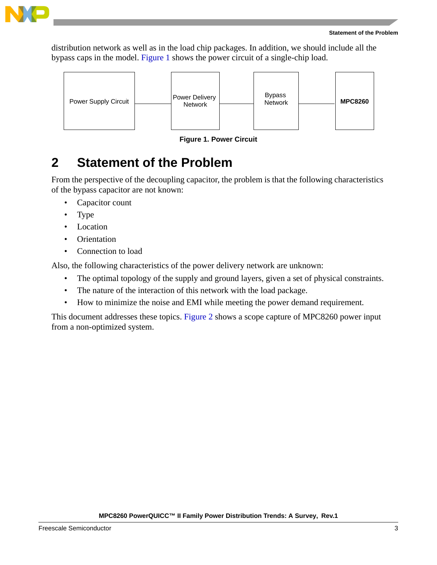

distribution network as well as in the load chip packages. In addition, we should include all the bypass caps in the model. Figure 1 shows the power circuit of a single-chip load.



**Figure 1. Power Circuit**

# <span id="page-2-0"></span>**2 Statement of the Problem**

From the perspective of the decoupling capacitor, the problem is that the following characteristics of the bypass capacitor are not known:

- Capacitor count
- Type
- Location
- Orientation
- Connection to load

Also, the following characteristics of the power delivery network are unknown:

- The optimal topology of the supply and ground layers, given a set of physical constraints.
- The nature of the interaction of this network with the load package.
- How to minimize the noise and EMI while meeting the power demand requirement.

This document addresses these topics. Figure 2 shows a scope capture of MPC8260 power input from a non-optimized system.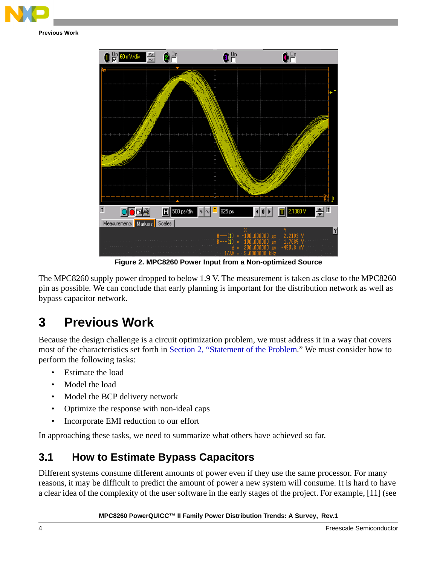



**Figure 2. MPC8260 Power Input from a Non-optimized Source**

The MPC8260 supply power dropped to below 1.9 V. The measurement is taken as close to the MPC8260 pin as possible. We can conclude that early planning is important for the distribution network as well as bypass capacitor network.

# **3 Previous Work**

Because the design challenge is a circuit optimization problem, we must address it in a way that covers most of the characteristics set forth in [Section 2, "Statement of the Problem](#page-2-0)." We must consider how to perform the following tasks:

- Estimate the load
- Model the load
- Model the BCP delivery network
- Optimize the response with non-ideal caps
- Incorporate EMI reduction to our effort

In approaching these tasks, we need to summarize what others have achieved so far.

## **3.1 How to Estimate Bypass Capacitors**

Different systems consume different amounts of power even if they use the same processor. For many reasons, it may be difficult to predict the amount of power a new system will consume. It is hard to have a clear idea of the complexity of the user software in the early stages of the project. For example, [11] (see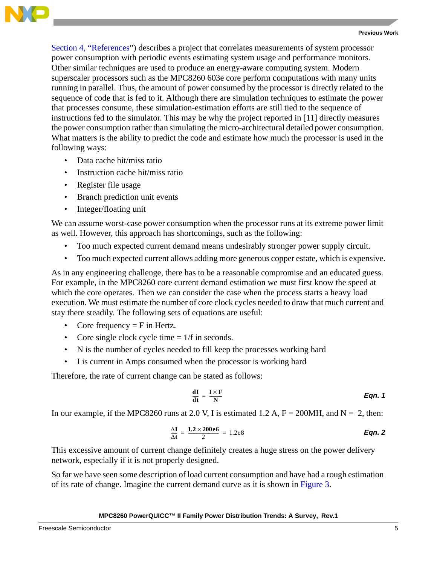

[Section 4, "References"](#page-17-0)) describes a project that correlates measurements of system processor power consumption with periodic events estimating system usage and performance monitors. Other similar techniques are used to produce an energy-aware computing system. Modern superscaler processors such as the MPC8260 603e core perform computations with many units running in parallel. Thus, the amount of power consumed by the processor is directly related to the sequence of code that is fed to it. Although there are simulation techniques to estimate the power that processes consume, these simulation-estimation efforts are still tied to the sequence of instructions fed to the simulator. This may be why the project reported in [11] directly measures the power consumption rather than simulating the micro-architectural detailed power consumption. What matters is the ability to predict the code and estimate how much the processor is used in the following ways:

- Data cache hit/miss ratio
- Instruction cache hit/miss ratio
- Register file usage
- Branch prediction unit events
- Integer/floating unit

We can assume worst-case power consumption when the processor runs at its extreme power limit as well. However, this approach has shortcomings, such as the following:

- Too much expected current demand means undesirably stronger power supply circuit.
- Too much expected current allows adding more generous copper estate, which is expensive.

As in any engineering challenge, there has to be a reasonable compromise and an educated guess. For example, in the MPC8260 core current demand estimation we must first know the speed at which the core operates. Then we can consider the case when the process starts a heavy load execution. We must estimate the number of core clock cycles needed to draw that much current and stay there steadily. The following sets of equations are useful:

- Core frequency  $=$  F in Hertz.
- Core single clock cycle time  $= 1/f$  in seconds.
- N is the number of cycles needed to fill keep the processes working hard
- I is current in Amps consumed when the processor is working hard

Therefore, the rate of current change can be stated as follows:

$$
\frac{dI}{dt} = \frac{I \times F}{N}
$$
Eqn. 1

In our example, if the MPC8260 runs at 2.0 V, I is estimated 1.2 A,  $F = 200$ MH, and N = 2, then:

*Eqn. 2* Δ**I** <sup>Δ</sup>**<sup>t</sup> ----- 1.2 200e6** <sup>×</sup> <sup>2</sup> **= = ----------------------------** 1.2e8

This excessive amount of current change definitely creates a huge stress on the power delivery network, especially if it is not properly designed.

So far we have seen some description of load current consumption and have had a rough estimation of its rate of change. Imagine the current demand curve as it is shown in Figure 3.

#### **MPC8260 PowerQUICC™ II Family Power Distribution Trends: A Survey, Rev.1**

Freescale Semiconductor 5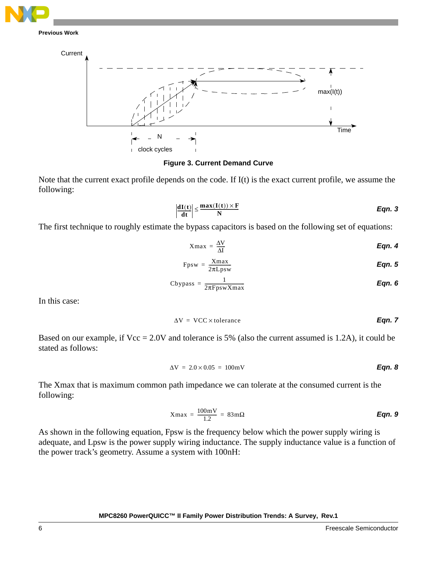



#### **Figure 3. Current Demand Curve**

Note that the current exact profile depends on the code. If I(t) is the exact current profile, we assume the following:

$$
\left|\frac{dI(t)}{dt}\right| \le \frac{max(I(t)) \times F}{N}
$$
Eqn. 3

The first technique to roughly estimate the bypass capacitors is based on the following set of equations:

$$
Xmax = \frac{\Delta V}{\Delta I}
$$

$$
Fpsw = \frac{Xmax}{2\pi Lpsw}
$$
 *Eqn. 5*

Cbypass = 
$$
\frac{1}{2\pi FpswXmax}
$$
 **Eqn. 6**

In this case:

$$
\Delta V = VCC \times \text{tolerance}
$$

Based on our example, if Vcc = 2.0V and tolerance is 5% (also the current assumed is 1.2A), it could be stated as follows:

$$
\Delta V = 2.0 \times 0.05 = 100 \,\text{mV}
$$

The Xmax that is maximum common path impedance we can tolerate at the consumed current is the following:

*Eqn. 9* Xmax 100mV 1.2 = = ------------------ 83m<sup>Ω</sup>

As shown in the following equation, Fpsw is the frequency below which the power supply wiring is adequate, and Lpsw is the power supply wiring inductance. The supply inductance value is a function of the power track's geometry. Assume a system with 100nH: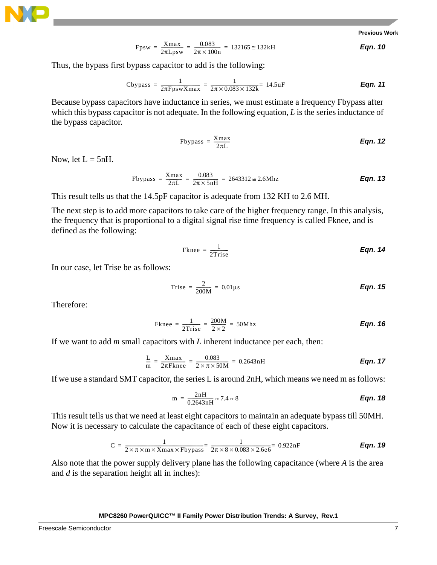

$$
Fpsw = \frac{Xmax}{2\pi Lpsw} = \frac{0.083}{2\pi \times 100n} = 132165 \approx 132kH
$$
Eqn. 10

Thus, the bypass first bypass capacitor to add is the following:

Cbypass = 
$$
\frac{1}{2\pi FpswXmax}
$$
 =  $\frac{1}{2\pi \times 0.083 \times 132k}$  = 14.5uF **Eqn. 11**

Because bypass capacitors have inductance in series, we must estimate a frequency Fbypass after which this bypass capacitor is not adequate. In the following equation, *L* is the series inductance of the bypass capacitor.

$$
Fbypass = \frac{Xmax}{2\pi L}
$$
 *Eqn. 12*

Now, let  $L = 5nH$ .

$$
Fbypass = \frac{Xmax}{2\pi L} = \frac{0.083}{2\pi \times 5nH} = 2643312 \approx 2.6Mhz
$$

This result tells us that the 14.5pF capacitor is adequate from 132 KH to 2.6 MH.

The next step is to add more capacitors to take care of the higher frequency range. In this analysis, the frequency that is proportional to a digital signal rise time frequency is called Fknee, and is defined as the following:

$$
F\text{knee} = \frac{1}{2 \text{Trise}} \qquad \qquad \text{Eqn. 14}
$$

In our case, let Trise be as follows:

$$
Trise = \frac{2}{200M} = 0.01 \mu s
$$
 \t\t\t\t\t**Eqn. 15**

Therefore:

$$
\text{Fknee} = \frac{1}{2 \text{Trise}} = \frac{200 \text{M}}{2 \times 2} = 50 \text{Mhz}
$$
\nEqn. 16

If we want to add *m* small capacitors with *L* inherent inductance per each, then:

$$
\frac{L}{m} = \frac{Xmax}{2\pi Fknee} = \frac{0.083}{2 \times \pi \times 50M} = 0.2643nH
$$
Eqn. 17

If we use a standard SMT capacitor, the series L is around 2nH, which means we need m as follows:

$$
m = \frac{2nH}{0.2643nH} \approx 7.4 \approx 8
$$
 **Eqn. 18**

This result tells us that we need at least eight capacitors to maintain an adequate bypass till 50MH. Now it is necessary to calculate the capacitance of each of these eight capacitors.

$$
C = \frac{1}{2 \times \pi \times m \times X \max \times F \text{bypass}} = \frac{1}{2\pi \times 8 \times 0.083 \times 2.6e6} = 0.922nF
$$
 \nEqn. 19

Also note that the power supply delivery plane has the following capacitance (where *A* is the area and *d* is the separation height all in inches):

#### **MPC8260 PowerQUICC™ II Family Power Distribution Trends: A Survey, Rev.1**

Freescale Semiconductor 7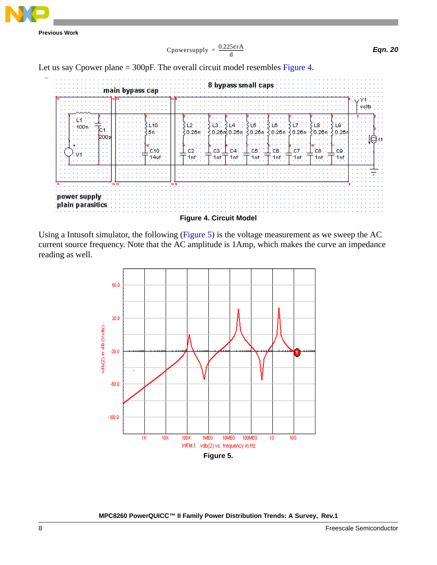

$$
C\text{power supply} = \frac{0.225\text{erA}}{d}
$$

*Eqn. 20*

Let us say Cpower plane = 300pF. The overall circuit model resembles Figure 4.



Using a Intusoft simulator, the following (Figure 5) is the voltage measurement as we sweep the AC current source frequency. Note that the AC amplitude is 1Amp, which makes the curve an impedance reading as well.

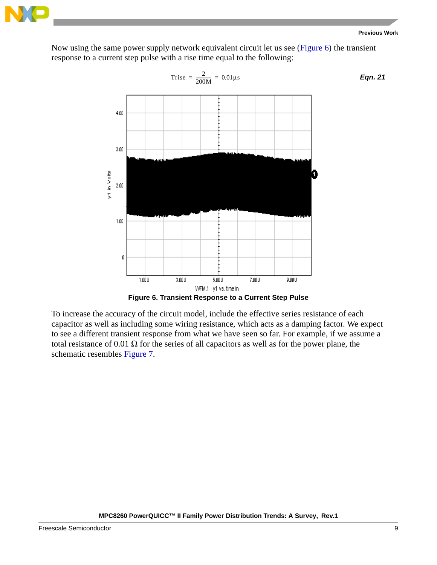

*Eqn. 21*

Now using the same power supply network equivalent circuit let us see (Figure 6) the transient response to a current step pulse with a rise time equal to the following:



To increase the accuracy of the circuit model, include the effective series resistance of each capacitor as well as including some wiring resistance, which acts as a damping factor. We expect to see a different transient response from what we have seen so far. For example, if we assume a total resistance of 0.01 Ω for the series of all capacitors as well as for the power plane, the schematic resembles Figure 7.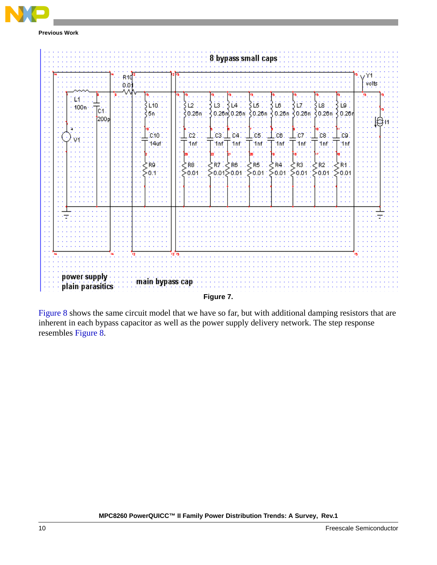



Figure 8 shows the same circuit model that we have so far, but with additional damping resistors that are inherent in each bypass capacitor as well as the power supply delivery network. The step response resembles Figure 8.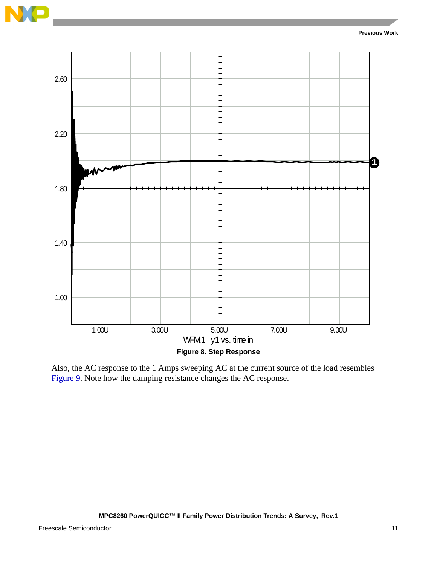



Also, the AC response to the 1 Amps sweeping AC at the current source of the load resembles Figure 9. Note how the damping resistance changes the AC response.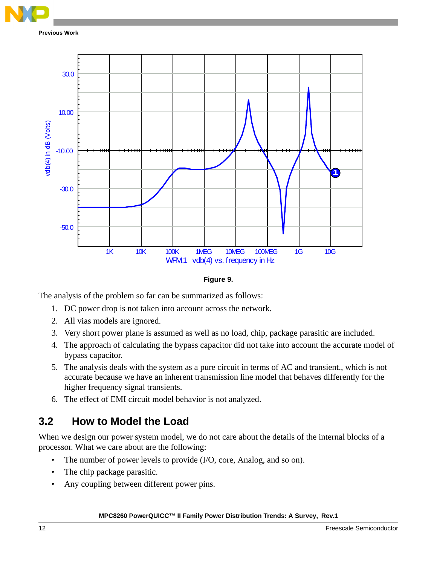



The analysis of the problem so far can be summarized as follows:

- 1. DC power drop is not taken into account across the network.
- 2. All vias models are ignored.
- 3. Very short power plane is assumed as well as no load, chip, package parasitic are included.
- 4. The approach of calculating the bypass capacitor did not take into account the accurate model of bypass capacitor.
- 5. The analysis deals with the system as a pure circuit in terms of AC and transient., which is not accurate because we have an inherent transmission line model that behaves differently for the higher frequency signal transients.
- 6. The effect of EMI circuit model behavior is not analyzed.

## **3.2 How to Model the Load**

When we design our power system model, we do not care about the details of the internal blocks of a processor. What we care about are the following:

- The number of power levels to provide (I/O, core, Analog, and so on).
- The chip package parasitic.
- Any coupling between different power pins.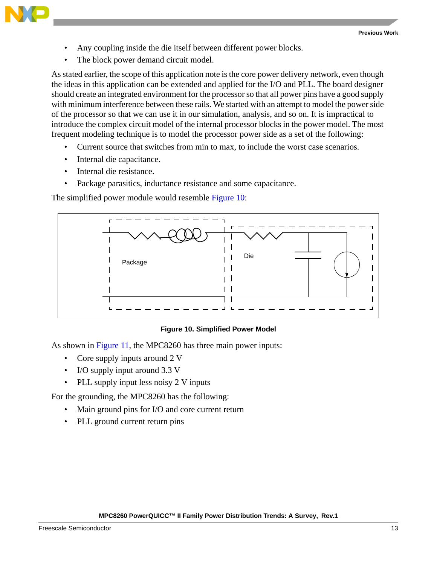

- Any coupling inside the die itself between different power blocks.
- The block power demand circuit model.

As stated earlier, the scope of this application note is the core power delivery network, even though the ideas in this application can be extended and applied for the I/O and PLL. The board designer should create an integrated environment for the processor so that all power pins have a good supply with minimum interference between these rails. We started with an attempt to model the power side of the processor so that we can use it in our simulation, analysis, and so on. It is impractical to introduce the complex circuit model of the internal processor blocks in the power model. The most frequent modeling technique is to model the processor power side as a set of the following:

- Current source that switches from min to max, to include the worst case scenarios.
- Internal die capacitance.
- Internal die resistance.
- Package parasitics, inductance resistance and some capacitance.

The simplified power module would resemble Figure 10:



#### **Figure 10. Simplified Power Model**

As shown in Figure 11, the MPC8260 has three main power inputs:

- Core supply inputs around 2 V
- I/O supply input around 3.3 V
- PLL supply input less noisy 2 V inputs

For the grounding, the MPC8260 has the following:

- Main ground pins for I/O and core current return
- PLL ground current return pins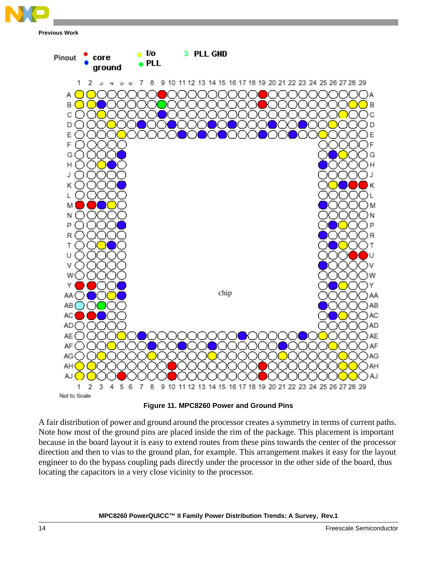

a Vo **D** PLL GND Pinout core **PLL** ground 1 2  $\sigma$ ٠  $\upsilon$   $\upsilon$ 7 8 9 10 11 12 13 14 15 16 17 18 19 20 21 22 23 24 25 26 27 28 29 A ÌА В Jв C ( ) ) c D D E Έ F G G н J κ L M Ν P R Τ U ٧ ٧ Υ chipAA ( AB AΒ AC AD) AD AE AE }AF Dark blue circles are the ground for I/O and Core. The ground for I/O and Core. I AG red circles are the Core power in AΗ AROUCK X JOOC LALACOO CIRCLES ARE THE PLA ) AJ Light blue circles are for the PLL ground pin. Not to Scale

**Figure 11. MPC8260 Power and Ground Pins**

A fair distribution of power and ground around the processor creates a symmetry in terms of current paths. Note how most of the ground pins are placed inside the rim of the package. This placement is important because in the board layout it is easy to extend routes from these pins towards the center of the processor direction and then to vias to the ground plan, for example. This arrangement makes it easy for the layout engineer to do the bypass coupling pads directly under the processor in the other side of the board, thus locating the capacitors in a very close vicinity to the processor.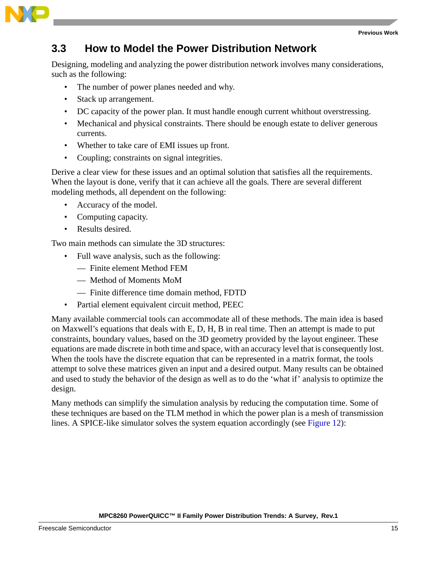

### **3.3 How to Model the Power Distribution Network**

Designing, modeling and analyzing the power distribution network involves many considerations, such as the following:

- The number of power planes needed and why.
- Stack up arrangement.
- DC capacity of the power plan. It must handle enough current whithout overstressing.
- Mechanical and physical constraints. There should be enough estate to deliver generous currents.
- Whether to take care of EMI issues up front.
- Coupling; constraints on signal integrities.

Derive a clear view for these issues and an optimal solution that satisfies all the requirements. When the layout is done, verify that it can achieve all the goals. There are several different modeling methods, all dependent on the following:

- Accuracy of the model.
- Computing capacity.
- Results desired.

Two main methods can simulate the 3D structures:

- Full wave analysis, such as the following:
	- Finite element Method FEM
	- Method of Moments MoM
	- Finite difference time domain method, FDTD
- Partial element equivalent circuit method, PEEC

Many available commercial tools can accommodate all of these methods. The main idea is based on Maxwell's equations that deals with E, D, H, B in real time. Then an attempt is made to put constraints, boundary values, based on the 3D geometry provided by the layout engineer. These equations are made discrete in both time and space, with an accuracy level that is consequently lost. When the tools have the discrete equation that can be represented in a matrix format, the tools attempt to solve these matrices given an input and a desired output. Many results can be obtained and used to study the behavior of the design as well as to do the 'what if' analysis to optimize the design.

Many methods can simplify the simulation analysis by reducing the computation time. Some of these techniques are based on the TLM method in which the power plan is a mesh of transmission lines. A SPICE-like simulator solves the system equation accordingly (see Figure 12):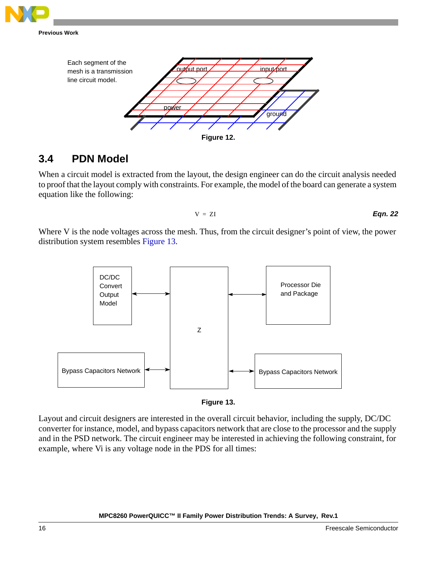



### **3.4 PDN Model**

When a circuit model is extracted from the layout, the design engineer can do the circuit analysis needed to proof that the layout comply with constraints. For example, the model of the board can generate a system equation like the following:

$$
V = ZI
$$
 **Eqn. 22**

Where V is the node voltages across the mesh. Thus, from the circuit designer's point of view, the power distribution system resembles Figure 13.





Layout and circuit designers are interested in the overall circuit behavior, including the supply, DC/DC converter for instance, model, and bypass capacitors network that are close to the processor and the supply and in the PSD network. The circuit engineer may be interested in achieving the following constraint, for example, where Vi is any voltage node in the PDS for all times: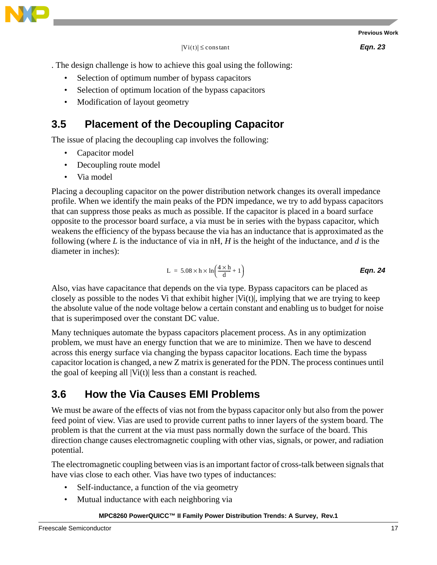$|Vi(t)| \leq$  constant

*Eqn. 23*

. The design challenge is how to achieve this goal using the following:

- Selection of optimum number of bypass capacitors
- Selection of optimum location of the bypass capacitors
- Modification of layout geometry

### **3.5 Placement of the Decoupling Capacitor**

The issue of placing the decoupling cap involves the following:

- Capacitor model
- Decoupling route model
- Via model

Placing a decoupling capacitor on the power distribution network changes its overall impedance profile. When we identify the main peaks of the PDN impedance, we try to add bypass capacitors that can suppress those peaks as much as possible. If the capacitor is placed in a board surface opposite to the processor board surface, a via must be in series with the bypass capacitor, which weakens the efficiency of the bypass because the via has an inductance that is approximated as the following (where *L* is the inductance of via in nH, *H* is the height of the inductance, and *d* is the diameter in inches):

$$
L = 5.08 \times h \times ln\left(\frac{4 \times h}{d} + 1\right)
$$
Eqn. 24

Also, vias have capacitance that depends on the via type. Bypass capacitors can be placed as closely as possible to the nodes Vi that exhibit higher  $|V_i(t)|$ , implying that we are trying to keep the absolute value of the node voltage below a certain constant and enabling us to budget for noise that is superimposed over the constant DC value.

Many techniques automate the bypass capacitors placement process. As in any optimization problem, we must have an energy function that we are to minimize. Then we have to descend across this energy surface via changing the bypass capacitor locations. Each time the bypass capacitor location is changed, a new Z matrix is generated for the PDN. The process continues until the goal of keeping all  $|Vi(t)|$  less than a constant is reached.

### **3.6 How the Via Causes EMI Problems**

We must be aware of the effects of vias not from the bypass capacitor only but also from the power feed point of view. Vias are used to provide current paths to inner layers of the system board. The problem is that the current at the via must pass normally down the surface of the board. This direction change causes electromagnetic coupling with other vias, signals, or power, and radiation potential.

The electromagnetic coupling between vias is an important factor of cross-talk between signals that have vias close to each other. Vias have two types of inductances:

- Self-inductance, a function of the via geometry
- Mutual inductance with each neighboring via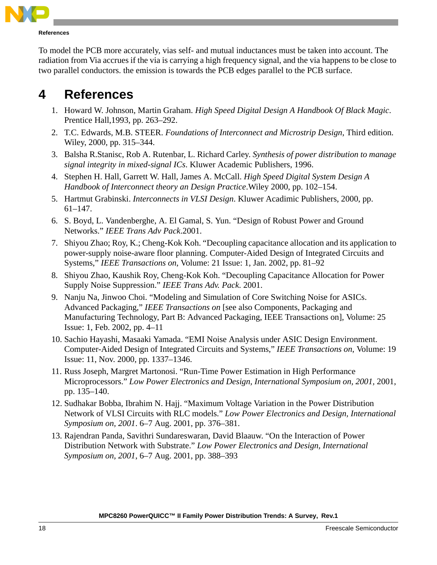

**References**

To model the PCB more accurately, vias self- and mutual inductances must be taken into account. The radiation from Via accrues if the via is carrying a high frequency signal, and the via happens to be close to two parallel conductors. the emission is towards the PCB edges parallel to the PCB surface.

# <span id="page-17-0"></span>**4 References**

- 1. Howard W. Johnson, Martin Graham. *High Speed Digital Design A Handbook Of Black Magic*. Prentice Hall,1993, pp. 263–292.
- 2. T.C. Edwards, M.B. STEER. *Foundations of Interconnect and Microstrip Design*, Third edition. Wiley, 2000, pp. 315–344.
- 3. Balsha R.Stanisc, Rob A. Rutenbar, L. Richard Carley. *Synthesis of power distribution to manage signal integrity in mixed-signal ICs*. Kluwer Academic Publishers, 1996.
- 4. Stephen H. Hall, Garrett W. Hall, James A. McCall. *High Speed Digital System Design A Handbook of Interconnect theory an Design Practice*.Wiley 2000, pp. 102–154.
- 5. Hartmut Grabinski. *Interconnects in VLSI Design*. Kluwer Acadimic Publishers, 2000, pp. 61–147.
- 6. S. Boyd, L. Vandenberghe, A. El Gamal, S. Yun. "Design of Robust Power and Ground Networks." *IEEE Trans Adv Pack*.2001.
- 7. Shiyou Zhao; Roy, K.; Cheng-Kok Koh. "Decoupling capacitance allocation and its application to power-supply noise-aware floor planning. Computer-Aided Design of Integrated Circuits and Systems," *IEEE Transactions on*, Volume: 21 Issue: 1, Jan. 2002, pp. 81–92
- 8. Shiyou Zhao, Kaushik Roy, Cheng-Kok Koh. "Decoupling Capacitance Allocation for Power Supply Noise Suppression." *IEEE Trans Adv. Pack*. 2001.
- 9. Nanju Na, Jinwoo Choi. "Modeling and Simulation of Core Switching Noise for ASICs. Advanced Packaging," *IEEE Transactions on* [see also Components, Packaging and Manufacturing Technology, Part B: Advanced Packaging, IEEE Transactions on], Volume: 25 Issue: 1, Feb. 2002, pp. 4–11
- 10. Sachio Hayashi, Masaaki Yamada. "EMI Noise Analysis under ASIC Design Environment. Computer-Aided Design of Integrated Circuits and Systems," *IEEE Transactions on*, Volume: 19 Issue: 11, Nov. 2000, pp. 1337–1346.
- 11. Russ Joseph, Margret Martonosi. "Run-Time Power Estimation in High Performance Microprocessors." *Low Power Electronics and Design, International Symposium on, 2001,* 2001, pp. 135–140.
- 12. Sudhakar Bobba, Ibrahim N. Hajj. "Maximum Voltage Variation in the Power Distribution Network of VLSI Circuits with RLC models." *Low Power Electronics and Design, International Symposium on, 2001*. 6–7 Aug. 2001, pp. 376–381.
- 13. Rajendran Panda, Savithri Sundareswaran, David Blaauw. "On the Interaction of Power Distribution Network with Substrate." *Low Power Electronics and Design, International Symposium on, 2001*, 6–7 Aug. 2001, pp. 388–393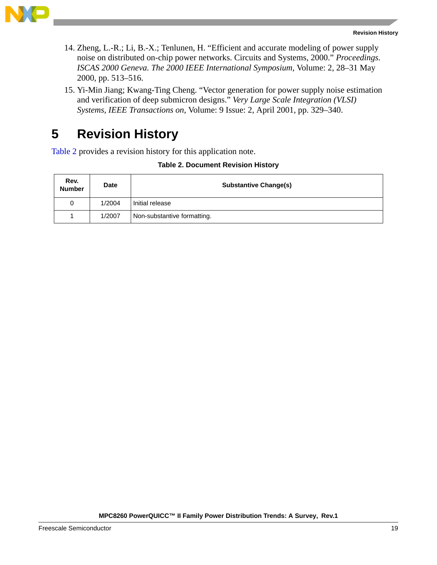

- 14. Zheng, L.-R.; Li, B.-X.; Tenlunen, H. "Efficient and accurate modeling of power supply noise on distributed on-chip power networks. Circuits and Systems, 2000." *Proceedings. ISCAS 2000 Geneva. The 2000 IEEE International Symposium*, Volume: 2, 28–31 May 2000, pp. 513–516.
- 15. Yi-Min Jiang; Kwang-Ting Cheng. "Vector generation for power supply noise estimation and verification of deep submicron designs." *Very Large Scale Integration (VLSI) Systems, IEEE Transactions on*, Volume: 9 Issue: 2, April 2001, pp. 329–340.

# **5 Revision History**

Table 2 provides a revision history for this application note.

|  | Table 2. Document Revision History |  |  |
|--|------------------------------------|--|--|
|--|------------------------------------|--|--|

| Rev.<br><b>Number</b> | Date   | <b>Substantive Change(s)</b> |
|-----------------------|--------|------------------------------|
| 0                     | 1/2004 | I Initial release            |
|                       | 1/2007 | Non-substantive formatting.  |